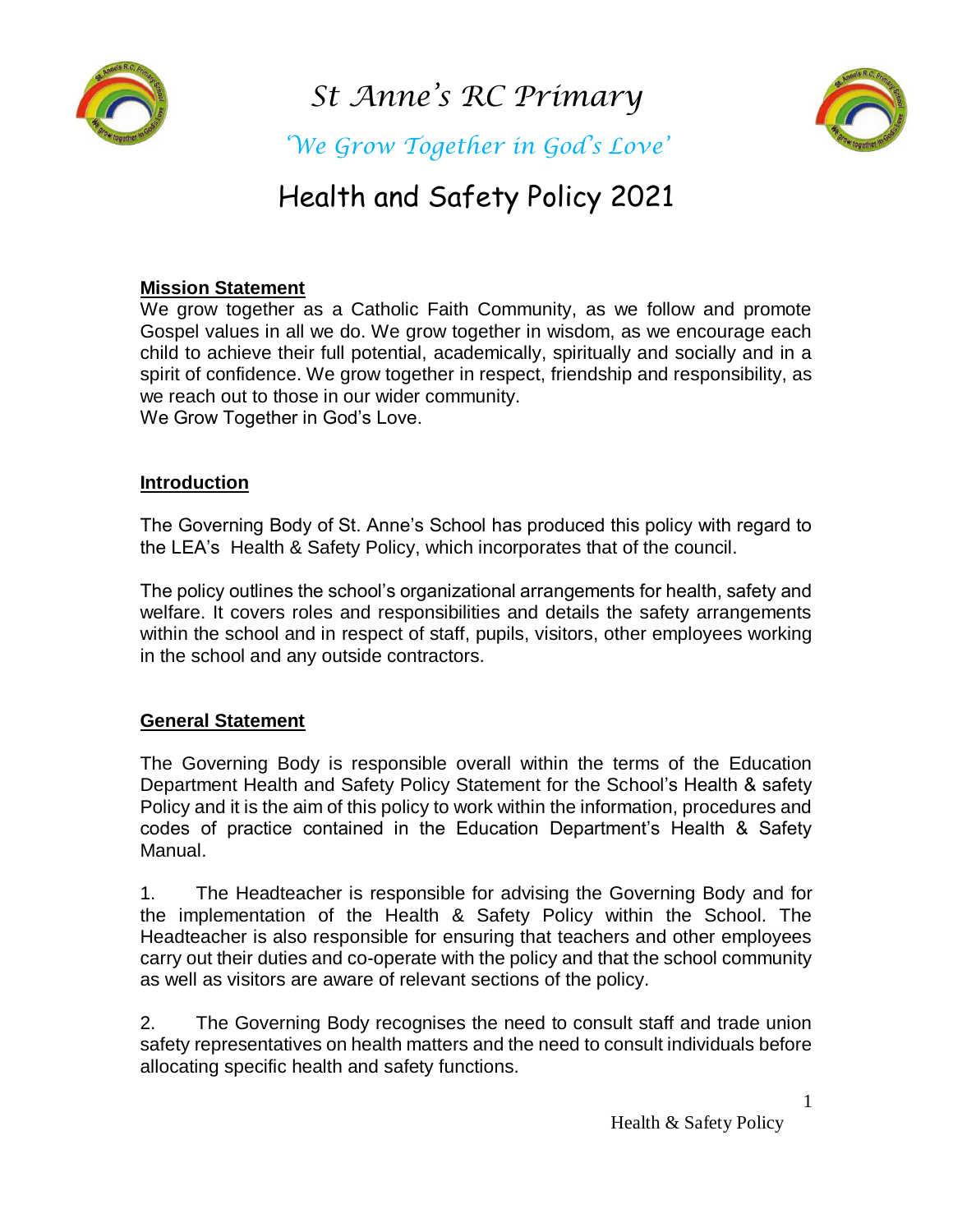

*St Anne's RC Primary* 



*'We Grow Together in God's Love'*

# Health and Safety Policy 2021

## **Mission Statement**

We grow together as a Catholic Faith Community, as we follow and promote Gospel values in all we do. We grow together in wisdom, as we encourage each child to achieve their full potential, academically, spiritually and socially and in a spirit of confidence. We grow together in respect, friendship and responsibility, as we reach out to those in our wider community. We Grow Together in God's Love.

#### **Introduction**

The Governing Body of St. Anne's School has produced this policy with regard to the LEA's Health & Safety Policy, which incorporates that of the council.

The policy outlines the school's organizational arrangements for health, safety and welfare. It covers roles and responsibilities and details the safety arrangements within the school and in respect of staff, pupils, visitors, other employees working in the school and any outside contractors.

## **General Statement**

The Governing Body is responsible overall within the terms of the Education Department Health and Safety Policy Statement for the School's Health & safety Policy and it is the aim of this policy to work within the information, procedures and codes of practice contained in the Education Department's Health & Safety Manual.

1. The Headteacher is responsible for advising the Governing Body and for the implementation of the Health & Safety Policy within the School. The Headteacher is also responsible for ensuring that teachers and other employees carry out their duties and co-operate with the policy and that the school community as well as visitors are aware of relevant sections of the policy.

2. The Governing Body recognises the need to consult staff and trade union safety representatives on health matters and the need to consult individuals before allocating specific health and safety functions.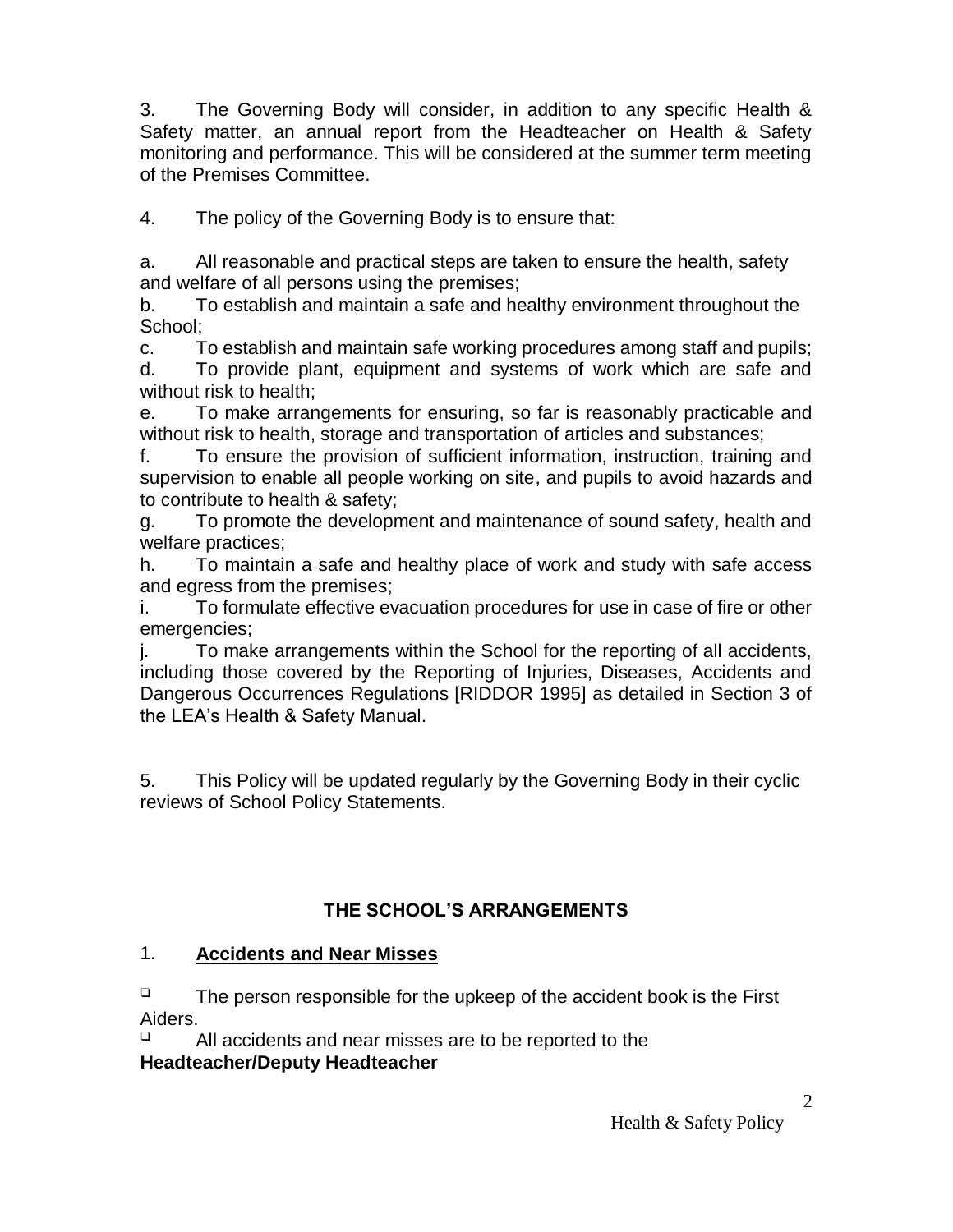3. The Governing Body will consider, in addition to any specific Health & Safety matter, an annual report from the Headteacher on Health & Safety monitoring and performance. This will be considered at the summer term meeting of the Premises Committee.

4. The policy of the Governing Body is to ensure that:

a. All reasonable and practical steps are taken to ensure the health, safety and welfare of all persons using the premises;

b. To establish and maintain a safe and healthy environment throughout the School;

c. To establish and maintain safe working procedures among staff and pupils;

d. To provide plant, equipment and systems of work which are safe and without risk to health;

e. To make arrangements for ensuring, so far is reasonably practicable and without risk to health, storage and transportation of articles and substances;

f. To ensure the provision of sufficient information, instruction, training and supervision to enable all people working on site, and pupils to avoid hazards and to contribute to health & safety;

g. To promote the development and maintenance of sound safety, health and welfare practices;

h. To maintain a safe and healthy place of work and study with safe access and egress from the premises;

i. To formulate effective evacuation procedures for use in case of fire or other emergencies;

j. To make arrangements within the School for the reporting of all accidents, including those covered by the Reporting of Injuries, Diseases, Accidents and Dangerous Occurrences Regulations [RIDDOR 1995] as detailed in Section 3 of the LEA's Health & Safety Manual.

5. This Policy will be updated regularly by the Governing Body in their cyclic reviews of School Policy Statements.

# **THE SCHOOL'S ARRANGEMENTS**

# 1. **Accidents and Near Misses**

 $\Box$  The person responsible for the upkeep of the accident book is the First Aiders.

All accidents and near misses are to be reported to the **Headteacher/Deputy Headteacher**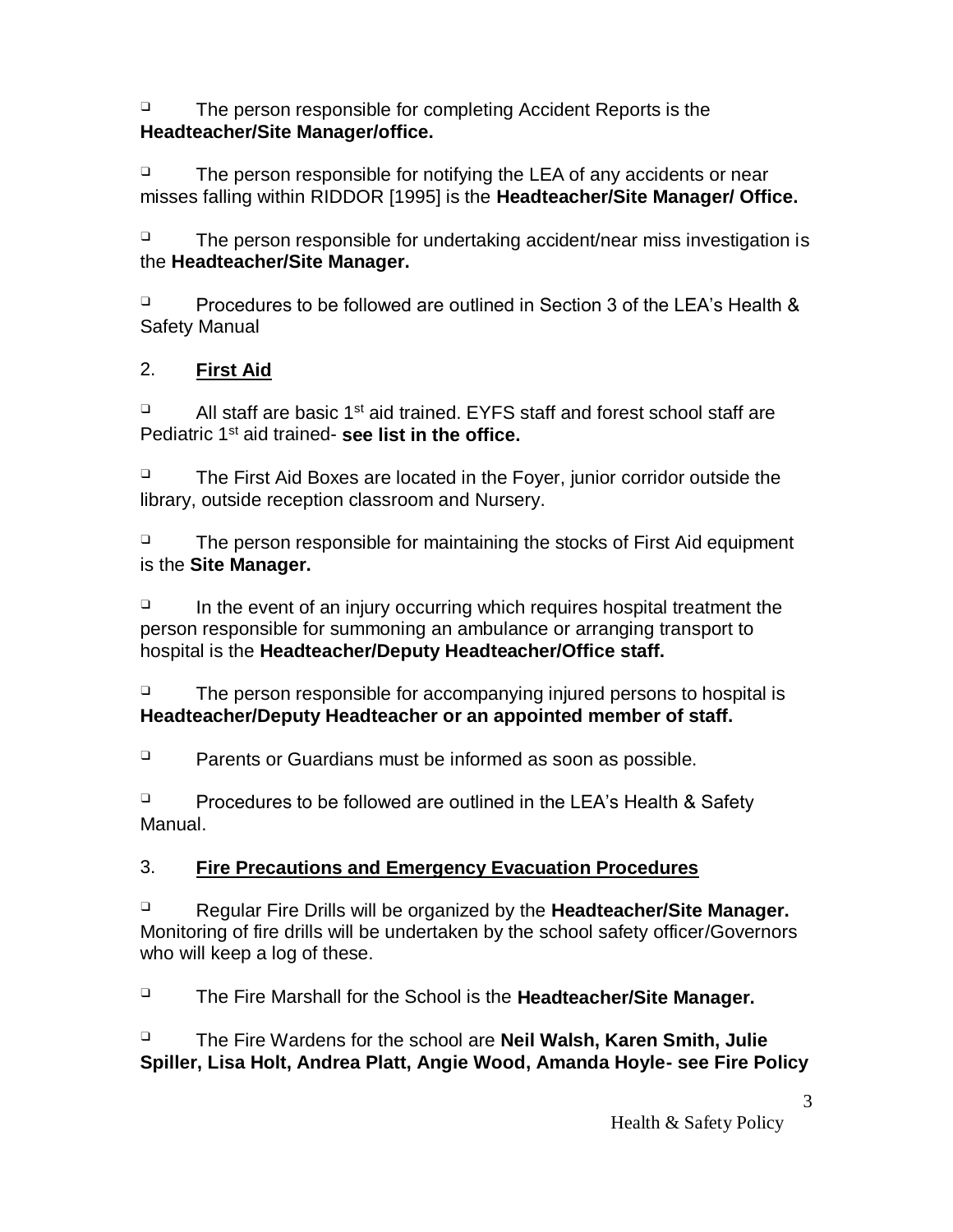❑ The person responsible for completing Accident Reports is the **Headteacher/Site Manager/office.**

 $\Box$  The person responsible for notifying the LEA of any accidents or near misses falling within RIDDOR [1995] is the **Headteacher/Site Manager/ Office.**

 $\Box$  The person responsible for undertaking accident/near miss investigation is the **Headteacher/Site Manager.**

 $\Box$  Procedures to be followed are outlined in Section 3 of the LEA's Health & Safety Manual

# 2. **First Aid**

 $\Box$  All staff are basic 1<sup>st</sup> aid trained. EYFS staff and forest school staff are Pediatric 1st aid trained- **see list in the office.**

❑ The First Aid Boxes are located in the Foyer, junior corridor outside the library, outside reception classroom and Nursery.

□ The person responsible for maintaining the stocks of First Aid equipment is the **Site Manager.**

 $\Box$  In the event of an injury occurring which requires hospital treatment the person responsible for summoning an ambulance or arranging transport to hospital is the **Headteacher/Deputy Headteacher/Office staff.**

 $\Box$  The person responsible for accompanying injured persons to hospital is **Headteacher/Deputy Headteacher or an appointed member of staff.**

❑ Parents or Guardians must be informed as soon as possible.

❑ Procedures to be followed are outlined in the LEA's Health & Safety Manual.

# 3. **Fire Precautions and Emergency Evacuation Procedures**

❑ Regular Fire Drills will be organized by the **Headteacher/Site Manager.**  Monitoring of fire drills will be undertaken by the school safety officer/Governors who will keep a log of these.

❑ The Fire Marshall for the School is the **Headteacher/Site Manager.**

❑ The Fire Wardens for the school are **Neil Walsh, Karen Smith, Julie Spiller, Lisa Holt, Andrea Platt, Angie Wood, Amanda Hoyle- see Fire Policy**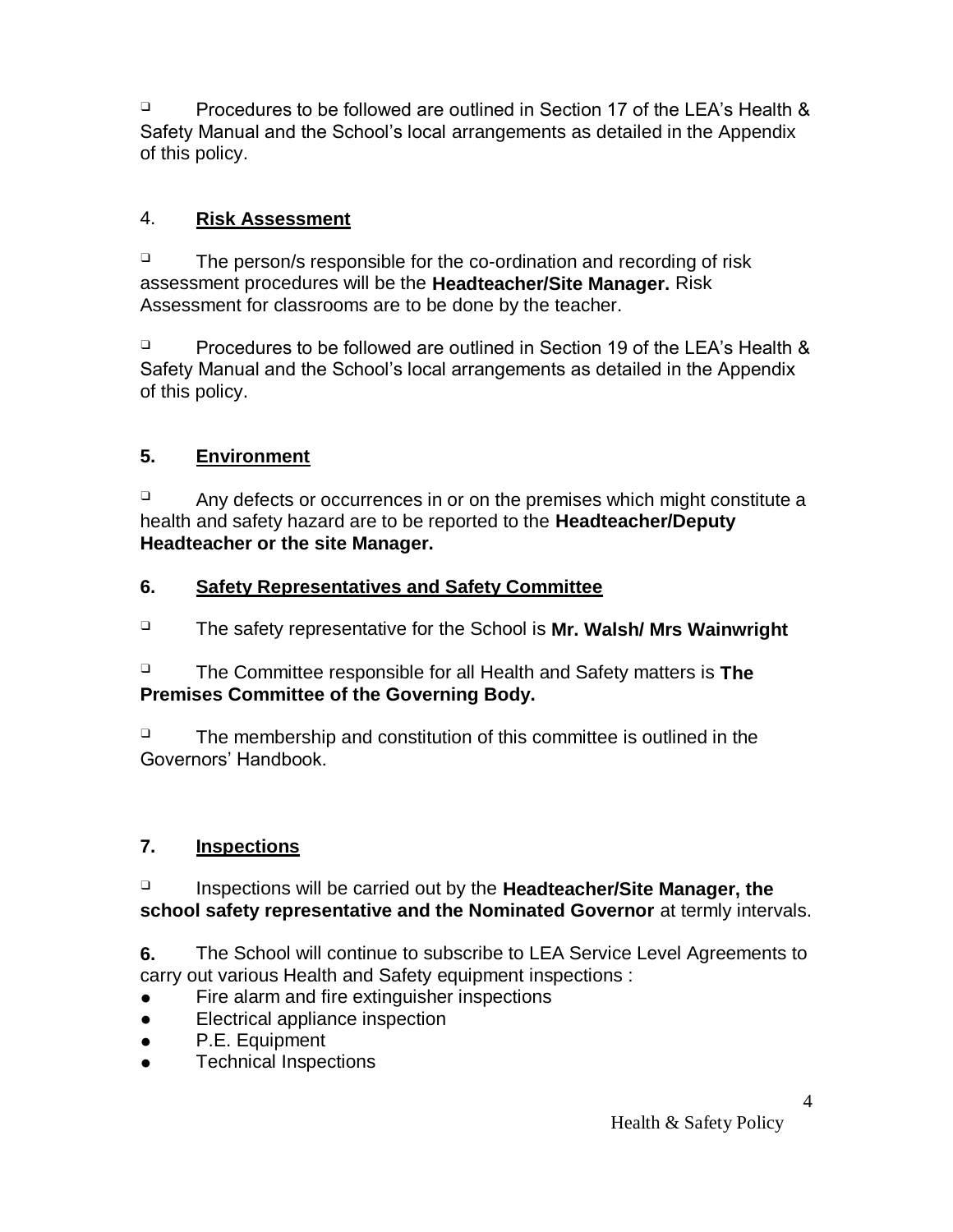$\Box$  Procedures to be followed are outlined in Section 17 of the LEA's Health & Safety Manual and the School's local arrangements as detailed in the Appendix of this policy.

## 4. **Risk Assessment**

❑ The person/s responsible for the co-ordination and recording of risk assessment procedures will be the **Headteacher/Site Manager.** Risk Assessment for classrooms are to be done by the teacher.

❑ Procedures to be followed are outlined in Section 19 of the LEA's Health & Safety Manual and the School's local arrangements as detailed in the Appendix of this policy.

# **5. Environment**

 $\Box$  Any defects or occurrences in or on the premises which might constitute a health and safety hazard are to be reported to the **Headteacher/Deputy Headteacher or the site Manager.**

## **6. Safety Representatives and Safety Committee**

❑ The safety representative for the School is **Mr. Walsh/ Mrs Wainwright** 

❑ The Committee responsible for all Health and Safety matters is **The Premises Committee of the Governing Body.**

❑ The membership and constitution of this committee is outlined in the Governors' Handbook.

# **7. Inspections**

❑ Inspections will be carried out by the **Headteacher/Site Manager, the school safety representative and the Nominated Governor** at termly intervals.

**6.** The School will continue to subscribe to LEA Service Level Agreements to carry out various Health and Safety equipment inspections :

- Fire alarm and fire extinguisher inspections
- Electrical appliance inspection
- P.E. Equipment
- Technical Inspections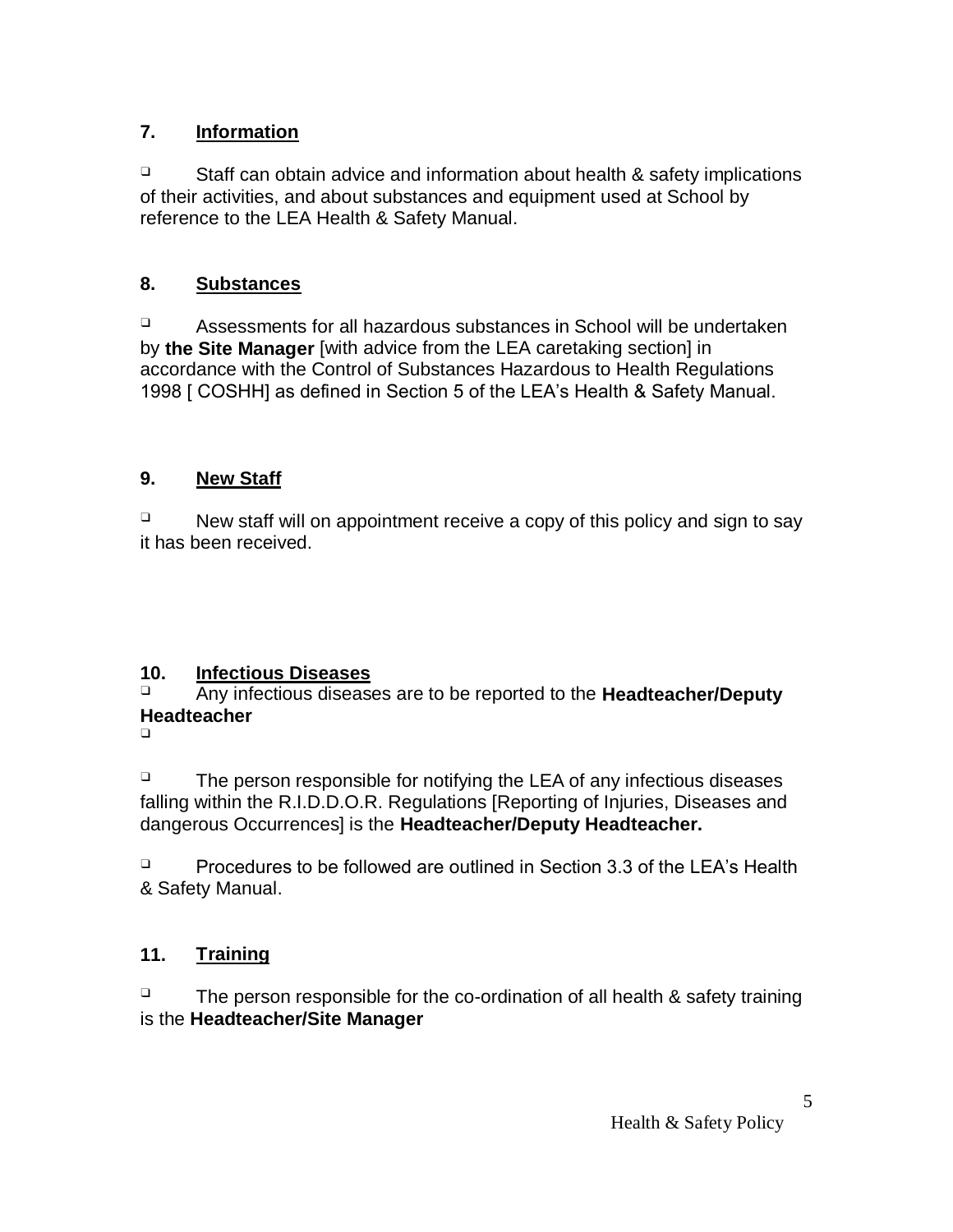# **7. Information**

 $\Box$  Staff can obtain advice and information about health & safety implications of their activities, and about substances and equipment used at School by reference to the LEA Health & Safety Manual.

# **8. Substances**

❑ Assessments for all hazardous substances in School will be undertaken by **the Site Manager** [with advice from the LEA caretaking section] in accordance with the Control of Substances Hazardous to Health Regulations 1998 [ COSHH] as defined in Section 5 of the LEA's Health & Safety Manual.

# **9. New Staff**

 $\Box$  New staff will on appointment receive a copy of this policy and sign to say it has been received.

# **10. Infectious Diseases**

❑ Any infectious diseases are to be reported to the **Headteacher/Deputy Headteacher**

 $\Box$ 

 $\Box$  The person responsible for notifying the LEA of any infectious diseases falling within the R.I.D.D.O.R. Regulations [Reporting of Injuries, Diseases and dangerous Occurrences] is the **Headteacher/Deputy Headteacher.**

 $\Box$  Procedures to be followed are outlined in Section 3.3 of the LEA's Health & Safety Manual.

# **11. Training**

 $\Box$  The person responsible for the co-ordination of all health & safety training is the **Headteacher/Site Manager**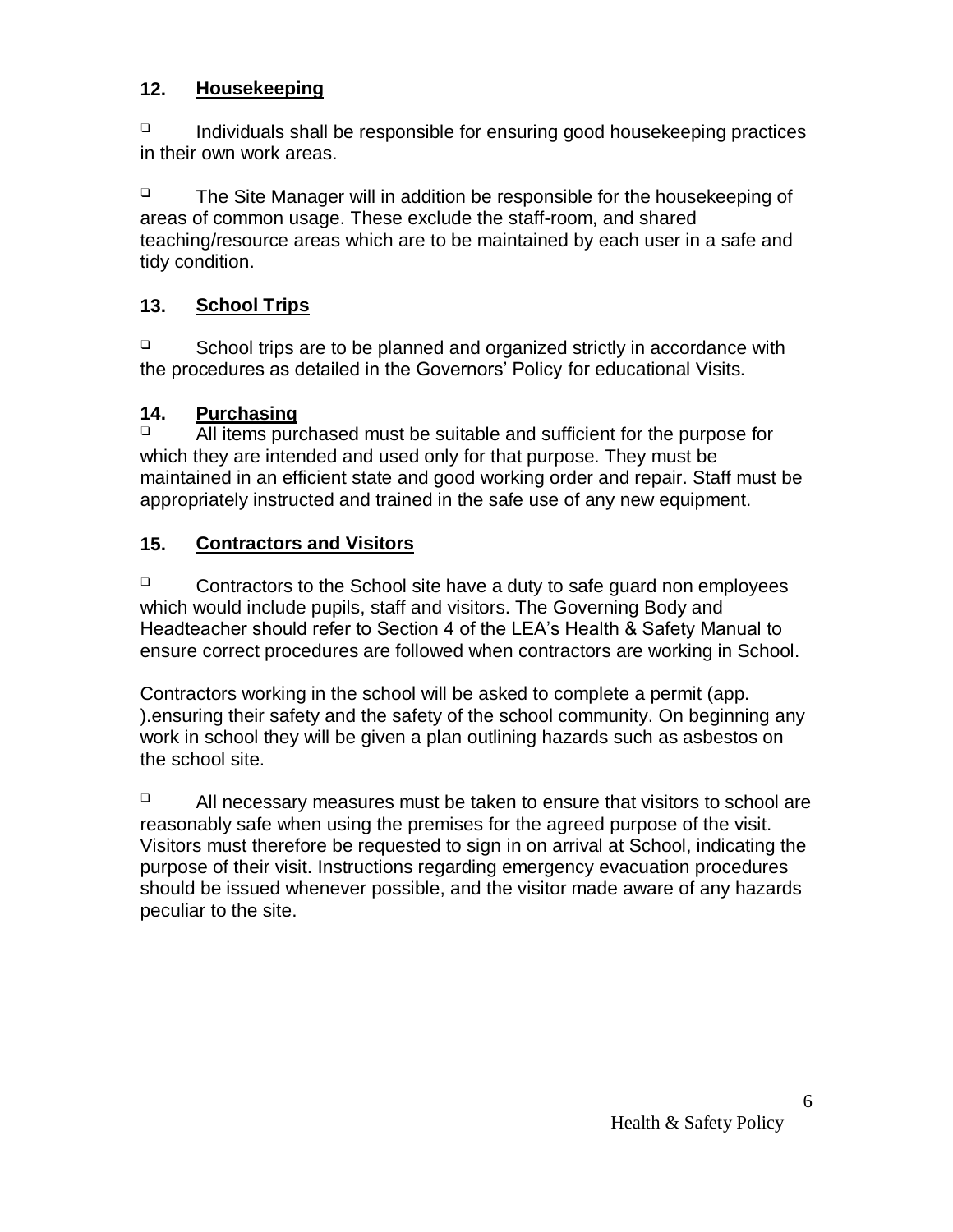# **12. Housekeeping**

 $\Box$  Individuals shall be responsible for ensuring good housekeeping practices in their own work areas.

❑ The Site Manager will in addition be responsible for the housekeeping of areas of common usage. These exclude the staff-room, and shared teaching/resource areas which are to be maintained by each user in a safe and tidy condition.

# **13. School Trips**

❑ School trips are to be planned and organized strictly in accordance with the procedures as detailed in the Governors' Policy for educational Visits.

# **14. Purchasing**

All items purchased must be suitable and sufficient for the purpose for which they are intended and used only for that purpose. They must be maintained in an efficient state and good working order and repair. Staff must be appropriately instructed and trained in the safe use of any new equipment.

# **15. Contractors and Visitors**

 $\Box$  Contractors to the School site have a duty to safe guard non employees which would include pupils, staff and visitors. The Governing Body and Headteacher should refer to Section 4 of the LEA's Health & Safety Manual to ensure correct procedures are followed when contractors are working in School.

Contractors working in the school will be asked to complete a permit (app. ).ensuring their safety and the safety of the school community. On beginning any work in school they will be given a plan outlining hazards such as asbestos on the school site.

 $\Box$  All necessary measures must be taken to ensure that visitors to school are reasonably safe when using the premises for the agreed purpose of the visit. Visitors must therefore be requested to sign in on arrival at School, indicating the purpose of their visit. Instructions regarding emergency evacuation procedures should be issued whenever possible, and the visitor made aware of any hazards peculiar to the site.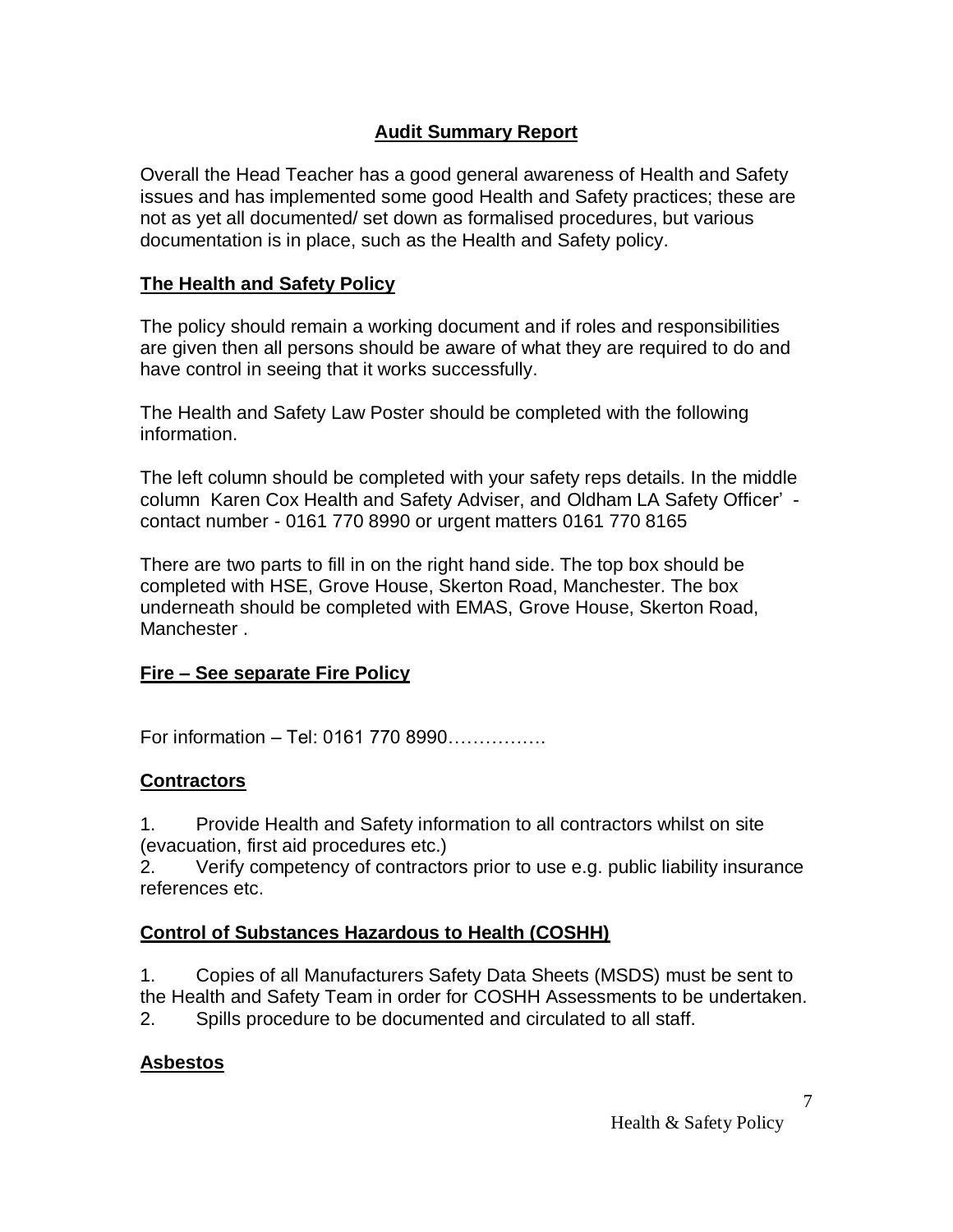# **Audit Summary Report**

Overall the Head Teacher has a good general awareness of Health and Safety issues and has implemented some good Health and Safety practices; these are not as yet all documented/ set down as formalised procedures, but various documentation is in place, such as the Health and Safety policy.

#### **The Health and Safety Policy**

The policy should remain a working document and if roles and responsibilities are given then all persons should be aware of what they are required to do and have control in seeing that it works successfully.

The Health and Safety Law Poster should be completed with the following information.

The left column should be completed with your safety reps details. In the middle column Karen Cox Health and Safety Adviser, and Oldham LA Safety Officer' contact number - 0161 770 8990 or urgent matters 0161 770 8165

There are two parts to fill in on the right hand side. The top box should be completed with HSE, Grove House, Skerton Road, Manchester. The box underneath should be completed with EMAS, Grove House, Skerton Road, Manchester .

## **Fire – See separate Fire Policy**

For information – Tel: 0161 770 8990…………….

## **Contractors**

1. Provide Health and Safety information to all contractors whilst on site (evacuation, first aid procedures etc.)

2. Verify competency of contractors prior to use e.g. public liability insurance references etc.

## **Control of Substances Hazardous to Health (COSHH)**

1. Copies of all Manufacturers Safety Data Sheets (MSDS) must be sent to the Health and Safety Team in order for COSHH Assessments to be undertaken. 2. Spills procedure to be documented and circulated to all staff.

## **Asbestos**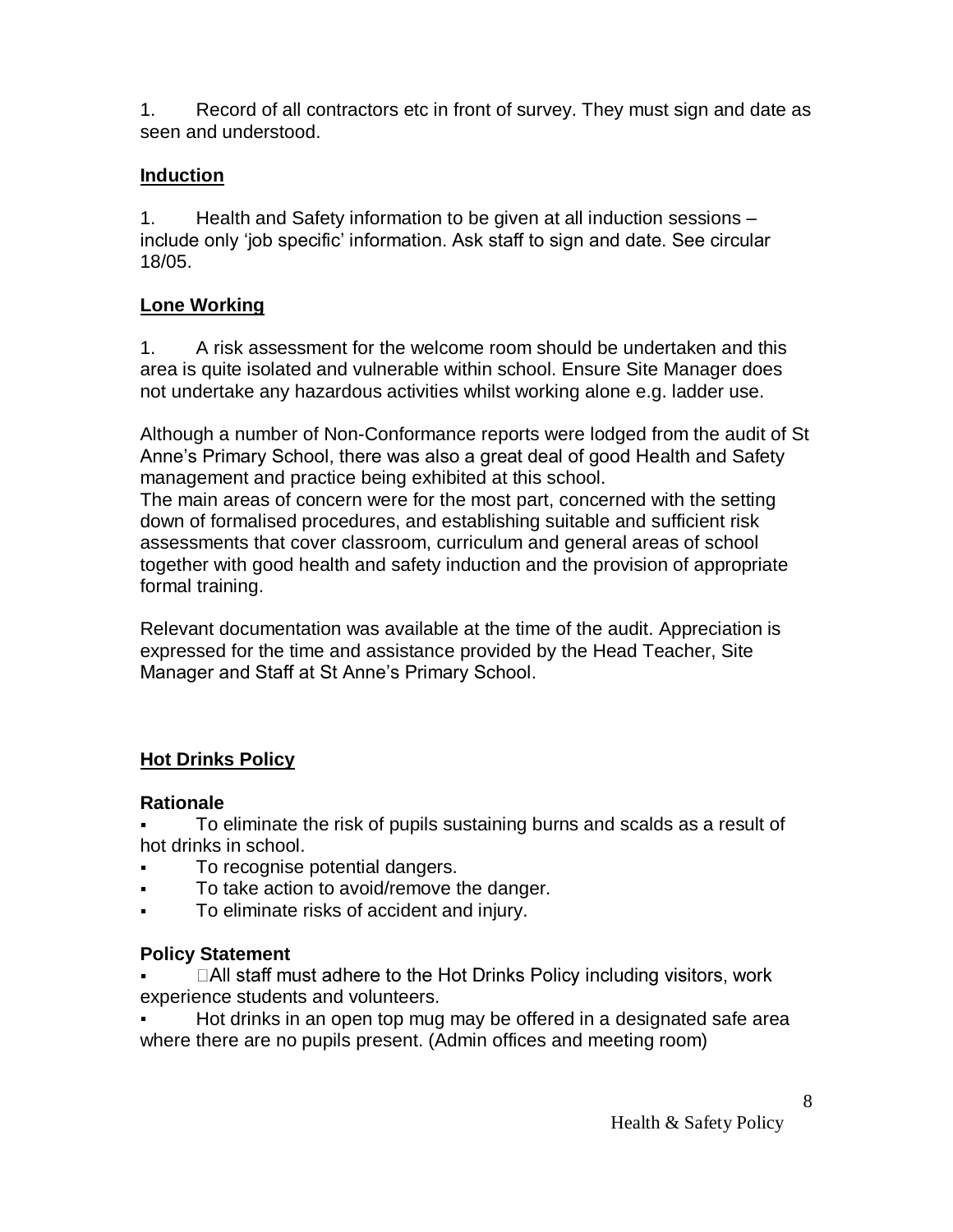1. Record of all contractors etc in front of survey. They must sign and date as seen and understood.

## **Induction**

1. Health and Safety information to be given at all induction sessions – include only 'job specific' information. Ask staff to sign and date. See circular 18/05.

## **Lone Working**

1. A risk assessment for the welcome room should be undertaken and this area is quite isolated and vulnerable within school. Ensure Site Manager does not undertake any hazardous activities whilst working alone e.g. ladder use.

Although a number of Non-Conformance reports were lodged from the audit of St Anne's Primary School, there was also a great deal of good Health and Safety management and practice being exhibited at this school.

The main areas of concern were for the most part, concerned with the setting down of formalised procedures, and establishing suitable and sufficient risk assessments that cover classroom, curriculum and general areas of school together with good health and safety induction and the provision of appropriate formal training.

Relevant documentation was available at the time of the audit. Appreciation is expressed for the time and assistance provided by the Head Teacher, Site Manager and Staff at St Anne's Primary School.

# **Hot Drinks Policy**

## **Rationale**

To eliminate the risk of pupils sustaining burns and scalds as a result of hot drinks in school.

- To recognise potential dangers.
- To take action to avoid/remove the danger.
- To eliminate risks of accident and injury.

## **Policy Statement**

□All staff must adhere to the Hot Drinks Policy including visitors, work ▪ experience students and volunteers.

Hot drinks in an open top mug may be offered in a designated safe area where there are no pupils present. (Admin offices and meeting room)